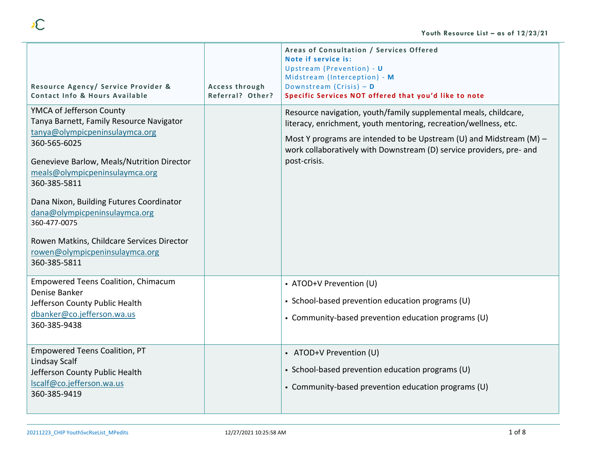| Resource Agency/ Service Provider &<br><b>Contact Info &amp; Hours Available</b>                                                                                                                                                                                                                                                                                                                                    | Access through<br>Referral? Other? | Areas of Consultation / Services Offered<br>Note if service is:<br>Upstream (Prevention) - U<br>Midstream (Interception) - M<br>Downstream (Crisis) $-$ D<br>Specific Services NOT offered that you'd like to note                                                                                  |
|---------------------------------------------------------------------------------------------------------------------------------------------------------------------------------------------------------------------------------------------------------------------------------------------------------------------------------------------------------------------------------------------------------------------|------------------------------------|-----------------------------------------------------------------------------------------------------------------------------------------------------------------------------------------------------------------------------------------------------------------------------------------------------|
| YMCA of Jefferson County<br>Tanya Barnett, Family Resource Navigator<br>tanya@olympicpeninsulaymca.org<br>360-565-6025<br>Genevieve Barlow, Meals/Nutrition Director<br>meals@olympicpeninsulaymca.org<br>360-385-5811<br>Dana Nixon, Building Futures Coordinator<br>dana@olympicpeninsulaymca.org<br>360-477-0075<br>Rowen Matkins, Childcare Services Director<br>rowen@olympicpeninsulaymca.org<br>360-385-5811 |                                    | Resource navigation, youth/family supplemental meals, childcare,<br>literacy, enrichment, youth mentoring, recreation/wellness, etc.<br>Most Y programs are intended to be Upstream (U) and Midstream (M) -<br>work collaboratively with Downstream (D) service providers, pre- and<br>post-crisis. |
| <b>Empowered Teens Coalition, Chimacum</b><br>Denise Banker<br>Jefferson County Public Health<br>dbanker@co.jefferson.wa.us<br>360-385-9438                                                                                                                                                                                                                                                                         |                                    | • ATOD+V Prevention (U)<br>• School-based prevention education programs (U)<br>• Community-based prevention education programs (U)                                                                                                                                                                  |
| <b>Empowered Teens Coalition, PT</b><br>Lindsay Scalf<br>Jefferson County Public Health<br>Iscalf@co.jefferson.wa.us<br>360-385-9419                                                                                                                                                                                                                                                                                |                                    | - ATOD+V Prevention (U)<br>• School-based prevention education programs (U)<br>• Community-based prevention education programs (U)                                                                                                                                                                  |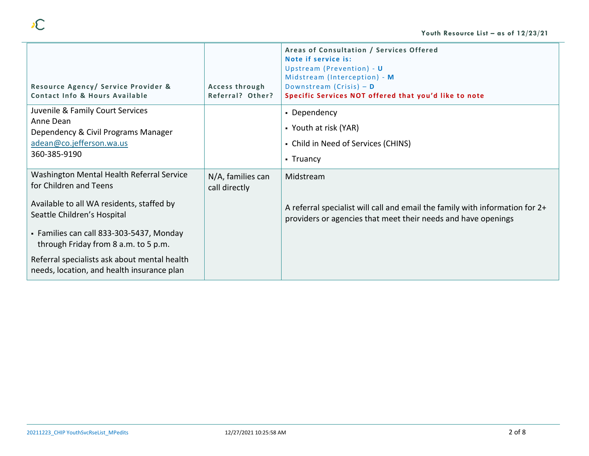| Resource Agency/ Service Provider &<br>Contact Info & Hours Available                                                                                                                                                                                                                                                             | Access through<br>Referral? Other? | Areas of Consultation / Services Offered<br>Note if service is:<br>Upstream (Prevention) - U<br>Midstream (Interception) - M<br>Downstream (Crisis) $-$ D<br>Specific Services NOT offered that you'd like to note |
|-----------------------------------------------------------------------------------------------------------------------------------------------------------------------------------------------------------------------------------------------------------------------------------------------------------------------------------|------------------------------------|--------------------------------------------------------------------------------------------------------------------------------------------------------------------------------------------------------------------|
| Juvenile & Family Court Services<br>Anne Dean<br>Dependency & Civil Programs Manager<br>adean@co.jefferson.wa.us<br>360-385-9190                                                                                                                                                                                                  |                                    | • Dependency<br>• Youth at risk (YAR)<br>• Child in Need of Services (CHINS)<br>• Truancy                                                                                                                          |
| Washington Mental Health Referral Service<br>for Children and Teens<br>Available to all WA residents, staffed by<br>Seattle Children's Hospital<br>• Families can call 833-303-5437, Monday<br>through Friday from 8 a.m. to 5 p.m.<br>Referral specialists ask about mental health<br>needs, location, and health insurance plan | N/A, families can<br>call directly | Midstream<br>A referral specialist will call and email the family with information for 2+<br>providers or agencies that meet their needs and have openings                                                         |

 $\sim$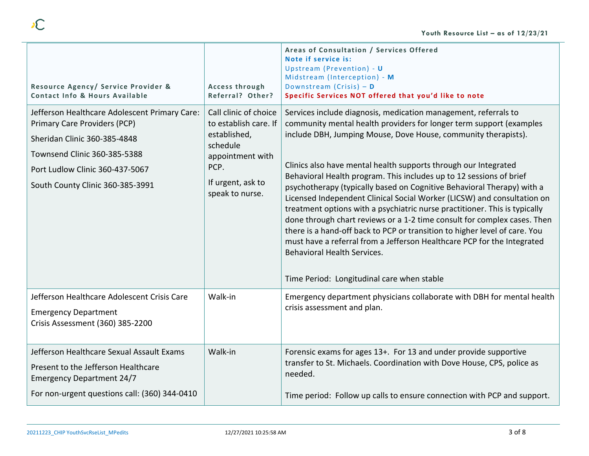| Resource Agency/ Service Provider &<br>Contact Info & Hours Available                                                                                                                                                | Access through<br>Referral? Other?                                                                                                             | Areas of Consultation / Services Offered<br>Note if service is:<br>Upstream (Prevention) - U<br>Midstream (Interception) - M<br>Downstream (Crisis) $-$ D<br>Specific Services NOT offered that you'd like to note                                                                                                                                                                                                                                                                                                                                                                                                                                                                                                                                                                                                                                                                                             |
|----------------------------------------------------------------------------------------------------------------------------------------------------------------------------------------------------------------------|------------------------------------------------------------------------------------------------------------------------------------------------|----------------------------------------------------------------------------------------------------------------------------------------------------------------------------------------------------------------------------------------------------------------------------------------------------------------------------------------------------------------------------------------------------------------------------------------------------------------------------------------------------------------------------------------------------------------------------------------------------------------------------------------------------------------------------------------------------------------------------------------------------------------------------------------------------------------------------------------------------------------------------------------------------------------|
| Jefferson Healthcare Adolescent Primary Care:<br>Primary Care Providers (PCP)<br>Sheridan Clinic 360-385-4848<br>Townsend Clinic 360-385-5388<br>Port Ludlow Clinic 360-437-5067<br>South County Clinic 360-385-3991 | Call clinic of choice<br>to establish care. If<br>established,<br>schedule<br>appointment with<br>PCP.<br>If urgent, ask to<br>speak to nurse. | Services include diagnosis, medication management, referrals to<br>community mental health providers for longer term support (examples<br>include DBH, Jumping Mouse, Dove House, community therapists).<br>Clinics also have mental health supports through our Integrated<br>Behavioral Health program. This includes up to 12 sessions of brief<br>psychotherapy (typically based on Cognitive Behavioral Therapy) with a<br>Licensed Independent Clinical Social Worker (LICSW) and consultation on<br>treatment options with a psychiatric nurse practitioner. This is typically<br>done through chart reviews or a 1-2 time consult for complex cases. Then<br>there is a hand-off back to PCP or transition to higher level of care. You<br>must have a referral from a Jefferson Healthcare PCP for the Integrated<br><b>Behavioral Health Services.</b><br>Time Period: Longitudinal care when stable |
| Jefferson Healthcare Adolescent Crisis Care<br><b>Emergency Department</b><br>Crisis Assessment (360) 385-2200                                                                                                       | Walk-in                                                                                                                                        | Emergency department physicians collaborate with DBH for mental health<br>crisis assessment and plan.                                                                                                                                                                                                                                                                                                                                                                                                                                                                                                                                                                                                                                                                                                                                                                                                          |
| Jefferson Healthcare Sexual Assault Exams<br>Present to the Jefferson Healthcare<br><b>Emergency Department 24/7</b><br>For non-urgent questions call: (360) 344-0410                                                | Walk-in                                                                                                                                        | Forensic exams for ages 13+. For 13 and under provide supportive<br>transfer to St. Michaels. Coordination with Dove House, CPS, police as<br>needed.<br>Time period: Follow up calls to ensure connection with PCP and support.                                                                                                                                                                                                                                                                                                                                                                                                                                                                                                                                                                                                                                                                               |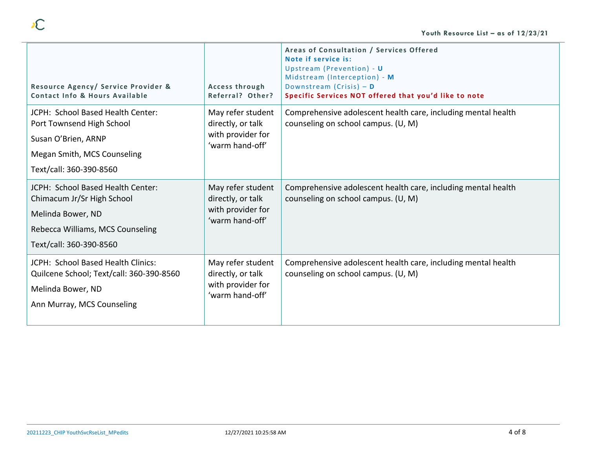| Resource Agency/ Service Provider &<br>Contact Info & Hours Available                                                                               | Access through<br>Referral? Other?                                             | Areas of Consultation / Services Offered<br>Note if service is:<br>Upstream (Prevention) - U<br>Midstream (Interception) - M<br>Downstream (Crisis) $-$ D<br>Specific Services NOT offered that you'd like to note |
|-----------------------------------------------------------------------------------------------------------------------------------------------------|--------------------------------------------------------------------------------|--------------------------------------------------------------------------------------------------------------------------------------------------------------------------------------------------------------------|
| JCPH: School Based Health Center:<br>Port Townsend High School<br>Susan O'Brien, ARNP<br>Megan Smith, MCS Counseling<br>Text/call: 360-390-8560     | May refer student<br>directly, or talk<br>with provider for<br>'warm hand-off' | Comprehensive adolescent health care, including mental health<br>counseling on school campus. (U, M)                                                                                                               |
| JCPH: School Based Health Center:<br>Chimacum Jr/Sr High School<br>Melinda Bower, ND<br>Rebecca Williams, MCS Counseling<br>Text/call: 360-390-8560 | May refer student<br>directly, or talk<br>with provider for<br>'warm hand-off' | Comprehensive adolescent health care, including mental health<br>counseling on school campus. (U, M)                                                                                                               |
| JCPH: School Based Health Clinics:<br>Quilcene School; Text/call: 360-390-8560<br>Melinda Bower, ND<br>Ann Murray, MCS Counseling                   | May refer student<br>directly, or talk<br>with provider for<br>'warm hand-off' | Comprehensive adolescent health care, including mental health<br>counseling on school campus. (U, M)                                                                                                               |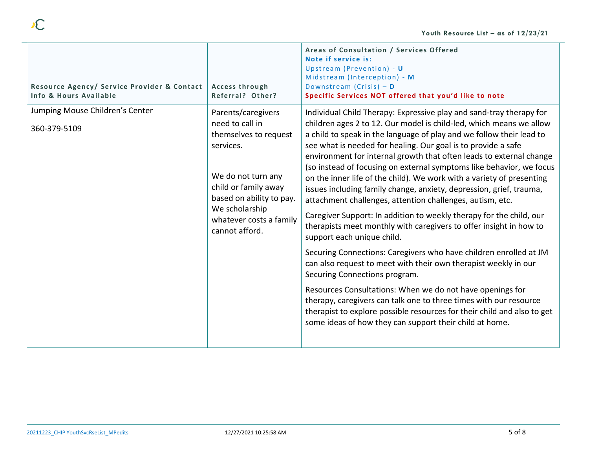| Resource Agency/ Service Provider & Contact<br>Info & Hours Available | Access through<br>Referral? Other?                                                                                                                                                                                   | Areas of Consultation / Services Offered<br>Note if service is:<br>Upstream (Prevention) - U<br>Midstream (Interception) - M<br>Downstream (Crisis) $-$ D<br>Specific Services NOT offered that you'd like to note                                                                                                                                                                                                                                                                                                                                                                                                                                                                                                                                                                                                                                                                                                                                                                                                                                                                                                                                                                                                                                                          |
|-----------------------------------------------------------------------|----------------------------------------------------------------------------------------------------------------------------------------------------------------------------------------------------------------------|-----------------------------------------------------------------------------------------------------------------------------------------------------------------------------------------------------------------------------------------------------------------------------------------------------------------------------------------------------------------------------------------------------------------------------------------------------------------------------------------------------------------------------------------------------------------------------------------------------------------------------------------------------------------------------------------------------------------------------------------------------------------------------------------------------------------------------------------------------------------------------------------------------------------------------------------------------------------------------------------------------------------------------------------------------------------------------------------------------------------------------------------------------------------------------------------------------------------------------------------------------------------------------|
| Jumping Mouse Children's Center<br>360-379-5109                       | Parents/caregivers<br>need to call in<br>themselves to request<br>services.<br>We do not turn any<br>child or family away<br>based on ability to pay.<br>We scholarship<br>whatever costs a family<br>cannot afford. | Individual Child Therapy: Expressive play and sand-tray therapy for<br>children ages 2 to 12. Our model is child-led, which means we allow<br>a child to speak in the language of play and we follow their lead to<br>see what is needed for healing. Our goal is to provide a safe<br>environment for internal growth that often leads to external change<br>(so instead of focusing on external symptoms like behavior, we focus<br>on the inner life of the child). We work with a variety of presenting<br>issues including family change, anxiety, depression, grief, trauma,<br>attachment challenges, attention challenges, autism, etc.<br>Caregiver Support: In addition to weekly therapy for the child, our<br>therapists meet monthly with caregivers to offer insight in how to<br>support each unique child.<br>Securing Connections: Caregivers who have children enrolled at JM<br>can also request to meet with their own therapist weekly in our<br>Securing Connections program.<br>Resources Consultations: When we do not have openings for<br>therapy, caregivers can talk one to three times with our resource<br>therapist to explore possible resources for their child and also to get<br>some ideas of how they can support their child at home. |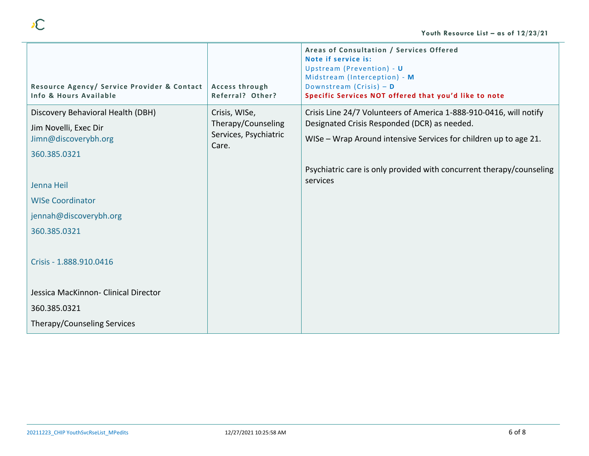|                                                                       |                                             | Areas of Consultation / Services Offered<br>Note if service is:<br>Upstream (Prevention) - U<br>Midstream (Interception) - M |
|-----------------------------------------------------------------------|---------------------------------------------|------------------------------------------------------------------------------------------------------------------------------|
| Resource Agency/ Service Provider & Contact<br>Info & Hours Available | Access through<br>Referral? Other?          | Downstream (Crisis) $-$ D<br>Specific Services NOT offered that you'd like to note                                           |
| Discovery Behavioral Health (DBH)                                     | Crisis, WISe,                               | Crisis Line 24/7 Volunteers of America 1-888-910-0416, will notify                                                           |
| Jim Novelli, Exec Dir                                                 | Therapy/Counseling<br>Services, Psychiatric | Designated Crisis Responded (DCR) as needed.<br>WISe - Wrap Around intensive Services for children up to age 21.             |
| Jimn@discoverybh.org                                                  | Care.                                       |                                                                                                                              |
| 360.385.0321                                                          |                                             |                                                                                                                              |
|                                                                       |                                             | Psychiatric care is only provided with concurrent therapy/counseling<br>services                                             |
| Jenna Heil                                                            |                                             |                                                                                                                              |
| <b>WISe Coordinator</b>                                               |                                             |                                                                                                                              |
| jennah@discoverybh.org                                                |                                             |                                                                                                                              |
| 360.385.0321                                                          |                                             |                                                                                                                              |
| Crisis - 1.888.910.0416                                               |                                             |                                                                                                                              |
| Jessica MacKinnon- Clinical Director                                  |                                             |                                                                                                                              |
| 360.385.0321                                                          |                                             |                                                                                                                              |
| Therapy/Counseling Services                                           |                                             |                                                                                                                              |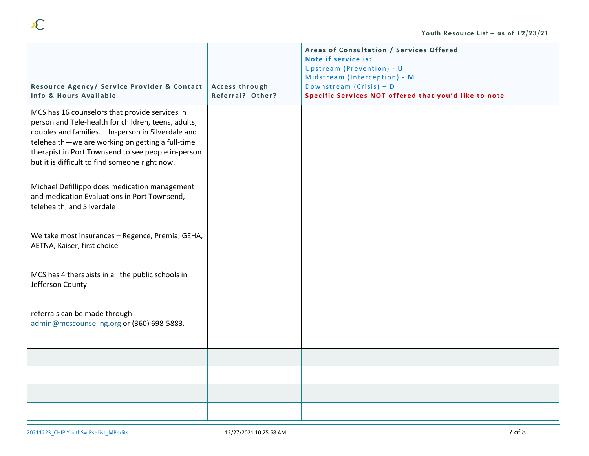| Resource Agency/ Service Provider & Contact<br>Info & Hours Available                                                                                                                                                                                                                                                    | Access through<br>Referral? Other? | Areas of Consultation / Services Offered<br>Note if service is:<br>Upstream (Prevention) - U<br>Midstream (Interception) - M<br>Downstream (Crisis) - D<br>Specific Services NOT offered that you'd like to note |
|--------------------------------------------------------------------------------------------------------------------------------------------------------------------------------------------------------------------------------------------------------------------------------------------------------------------------|------------------------------------|------------------------------------------------------------------------------------------------------------------------------------------------------------------------------------------------------------------|
| MCS has 16 counselors that provide services in<br>person and Tele-health for children, teens, adults,<br>couples and families. - In-person in Silverdale and<br>telehealth-we are working on getting a full-time<br>therapist in Port Townsend to see people in-person<br>but it is difficult to find someone right now. |                                    |                                                                                                                                                                                                                  |
| Michael Defillippo does medication management<br>and medication Evaluations in Port Townsend,<br>telehealth, and Silverdale                                                                                                                                                                                              |                                    |                                                                                                                                                                                                                  |
| We take most insurances - Regence, Premia, GEHA,<br>AETNA, Kaiser, first choice                                                                                                                                                                                                                                          |                                    |                                                                                                                                                                                                                  |
| MCS has 4 therapists in all the public schools in<br>Jefferson County                                                                                                                                                                                                                                                    |                                    |                                                                                                                                                                                                                  |
| referrals can be made through<br>admin@mcscounseling.org or (360) 698-5883.                                                                                                                                                                                                                                              |                                    |                                                                                                                                                                                                                  |
|                                                                                                                                                                                                                                                                                                                          |                                    |                                                                                                                                                                                                                  |
|                                                                                                                                                                                                                                                                                                                          |                                    |                                                                                                                                                                                                                  |
|                                                                                                                                                                                                                                                                                                                          |                                    |                                                                                                                                                                                                                  |
|                                                                                                                                                                                                                                                                                                                          |                                    |                                                                                                                                                                                                                  |